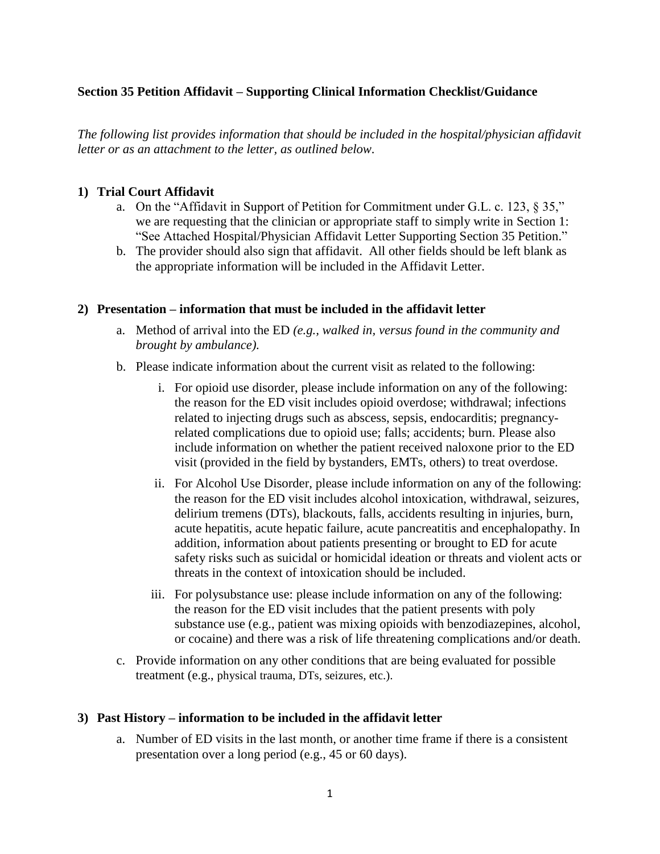# **Section 35 Petition Affidavit – Supporting Clinical Information Checklist/Guidance**

*The following list provides information that should be included in the hospital/physician affidavit letter or as an attachment to the letter, as outlined below.*

#### **1) Trial Court Affidavit**

- a. On the "Affidavit in Support of Petition for Commitment under G.L. c. 123, § 35," we are requesting that the clinician or appropriate staff to simply write in Section 1: "See Attached Hospital/Physician Affidavit Letter Supporting Section 35 Petition."
- b. The provider should also sign that affidavit. All other fields should be left blank as the appropriate information will be included in the Affidavit Letter.

#### **2) Presentation – information that must be included in the affidavit letter**

- a. Method of arrival into the ED *(e.g., walked in, versus found in the community and brought by ambulance).*
- b. Please indicate information about the current visit as related to the following:
	- i. For opioid use disorder, please include information on any of the following: the reason for the ED visit includes opioid overdose; withdrawal; infections related to injecting drugs such as abscess, sepsis, endocarditis; pregnancyrelated complications due to opioid use; falls; accidents; burn. Please also include information on whether the patient received naloxone prior to the ED visit (provided in the field by bystanders, EMTs, others) to treat overdose.
	- ii. For Alcohol Use Disorder, please include information on any of the following: the reason for the ED visit includes alcohol intoxication, withdrawal, seizures, delirium tremens (DTs), blackouts, falls, accidents resulting in injuries, burn, acute hepatitis, acute hepatic failure, acute pancreatitis and encephalopathy. In addition, information about patients presenting or brought to ED for acute safety risks such as suicidal or homicidal ideation or threats and violent acts or threats in the context of intoxication should be included.
	- iii. For polysubstance use: please include information on any of the following: the reason for the ED visit includes that the patient presents with poly substance use (e.g., patient was mixing opioids with benzodiazepines, alcohol, or cocaine) and there was a risk of life threatening complications and/or death.
- c. Provide information on any other conditions that are being evaluated for possible treatment (e.g., physical trauma, DTs, seizures, etc.).

### **3) Past History – information to be included in the affidavit letter**

a. Number of ED visits in the last month, or another time frame if there is a consistent presentation over a long period (e.g., 45 or 60 days).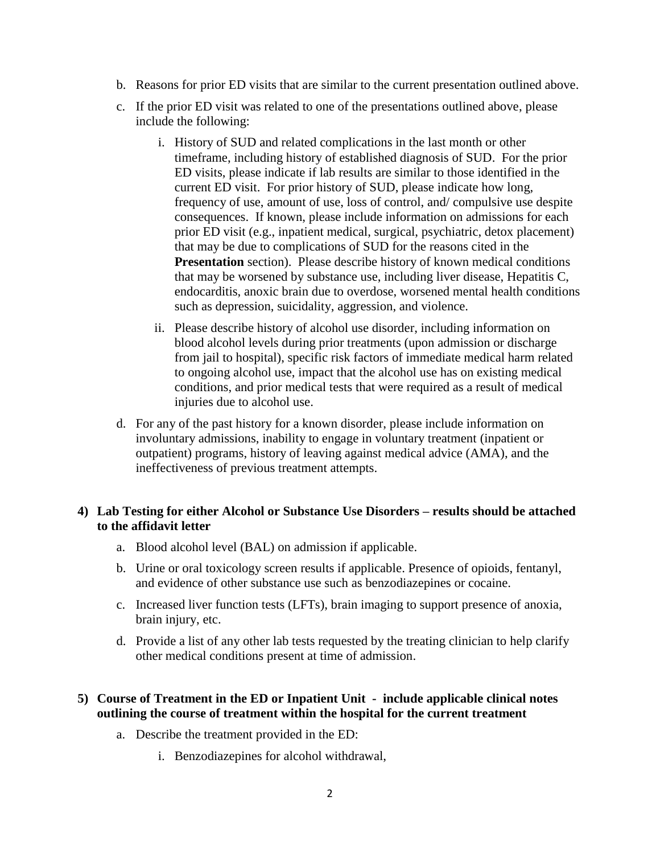- b. Reasons for prior ED visits that are similar to the current presentation outlined above.
- c. If the prior ED visit was related to one of the presentations outlined above, please include the following:
	- i. History of SUD and related complications in the last month or other timeframe, including history of established diagnosis of SUD. For the prior ED visits, please indicate if lab results are similar to those identified in the current ED visit. For prior history of SUD, please indicate how long, frequency of use, amount of use, loss of control, and/ compulsive use despite consequences. If known, please include information on admissions for each prior ED visit (e.g., inpatient medical, surgical, psychiatric, detox placement) that may be due to complications of SUD for the reasons cited in the **Presentation** section). Please describe history of known medical conditions that may be worsened by substance use, including liver disease, Hepatitis C, endocarditis, anoxic brain due to overdose, worsened mental health conditions such as depression, suicidality, aggression, and violence.
	- ii. Please describe history of alcohol use disorder, including information on blood alcohol levels during prior treatments (upon admission or discharge from jail to hospital), specific risk factors of immediate medical harm related to ongoing alcohol use, impact that the alcohol use has on existing medical conditions, and prior medical tests that were required as a result of medical injuries due to alcohol use.
- d. For any of the past history for a known disorder, please include information on involuntary admissions, inability to engage in voluntary treatment (inpatient or outpatient) programs, history of leaving against medical advice (AMA), and the ineffectiveness of previous treatment attempts.

# **4) Lab Testing for either Alcohol or Substance Use Disorders – results should be attached to the affidavit letter**

- a. Blood alcohol level (BAL) on admission if applicable.
- b. Urine or oral toxicology screen results if applicable. Presence of opioids, fentanyl, and evidence of other substance use such as benzodiazepines or cocaine.
- c. Increased liver function tests (LFTs), brain imaging to support presence of anoxia, brain injury, etc.
- d. Provide a list of any other lab tests requested by the treating clinician to help clarify other medical conditions present at time of admission.

# **5) Course of Treatment in the ED or Inpatient Unit - include applicable clinical notes outlining the course of treatment within the hospital for the current treatment**

- a. Describe the treatment provided in the ED:
	- i. Benzodiazepines for alcohol withdrawal,